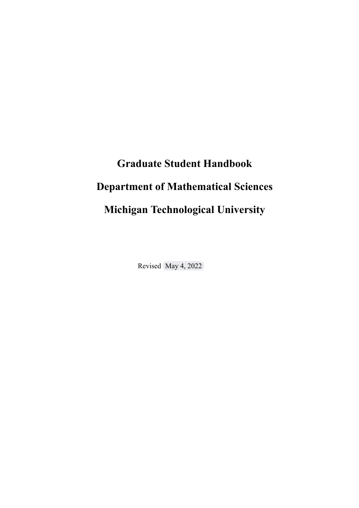# **Graduate Student Handbook Department of Mathematical Sciences Michigan Technological University**

Revised May 4, 2022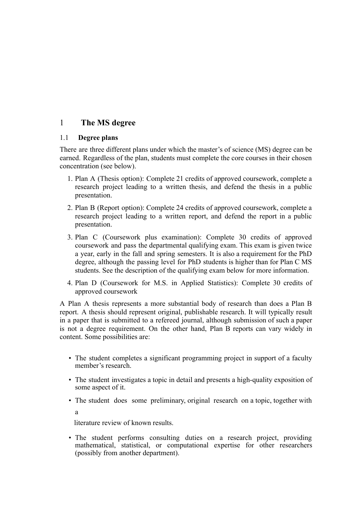# 1 **The MS degree**

#### 1.1 **Degree plans**

There are three different plans under which the master's of science (MS) degree can be earned. Regardless of the plan, students must complete the core courses in their chosen concentration (see below).

- 1. Plan A (Thesis option): Complete 21 credits of approved coursework, complete a research project leading to a written thesis, and defend the thesis in a public presentation.
- 2. Plan B (Report option): Complete 24 credits of approved coursework, complete a research project leading to a written report, and defend the report in a public presentation.
- 3. Plan C (Coursework plus examination): Complete 30 credits of approved coursework and pass the departmental qualifying exam. This exam is given twice a year, early in the fall and spring semesters. It is also a requirement for the PhD degree, although the passing level for PhD students is higher than for Plan C MS students. See the description of the qualifying exam below for more information.
- 4. Plan D (Coursework for M.S. in Applied Statistics): Complete 30 credits of approved coursework

A Plan A thesis represents a more substantial body of research than does a Plan B report. A thesis should represent original, publishable research. It will typically result in a paper that is submitted to a refereed journal, although submission of such a paper is not a degree requirement. On the other hand, Plan B reports can vary widely in content. Some possibilities are:

- The student completes a significant programming project in support of a faculty member's research.
- The student investigates a topic in detail and presents a high-quality exposition of some aspect of it.
- The student does some preliminary, original research on a topic, together with a

literature review of known results.

• The student performs consulting duties on a research project, providing mathematical, statistical, or computational expertise for other researchers (possibly from another department).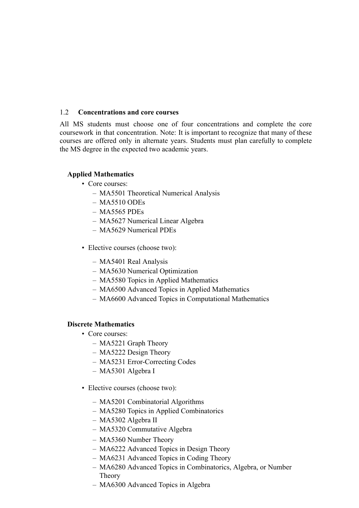#### 1.2 **Concentrations and core courses**

All MS students must choose one of four concentrations and complete the core coursework in that concentration. Note: It is important to recognize that many of these courses are offered only in alternate years. Students must plan carefully to complete the MS degree in the expected two academic years.

#### **Applied Mathematics**

- Core courses:
	- MA5501 Theoretical Numerical Analysis
	- MA5510 ODEs
	- MA5565 PDEs
	- MA5627 Numerical Linear Algebra
	- MA5629 Numerical PDEs
- Elective courses (choose two):
	- MA5401 Real Analysis
	- MA5630 Numerical Optimization
	- MA5580 Topics in Applied Mathematics
	- MA6500 Advanced Topics in Applied Mathematics
	- MA6600 Advanced Topics in Computational Mathematics

#### **Discrete Mathematics**

- Core courses:
	- MA5221 Graph Theory
	- MA5222 Design Theory
	- MA5231 Error-Correcting Codes
	- MA5301 Algebra I
- Elective courses (choose two):
	- MA5201 Combinatorial Algorithms
	- MA5280 Topics in Applied Combinatorics
	- MA5302 Algebra II
	- MA5320 Commutative Algebra
	- MA5360 Number Theory
	- MA6222 Advanced Topics in Design Theory
	- MA6231 Advanced Topics in Coding Theory
	- MA6280 Advanced Topics in Combinatorics, Algebra, or Number Theory
	- MA6300 Advanced Topics in Algebra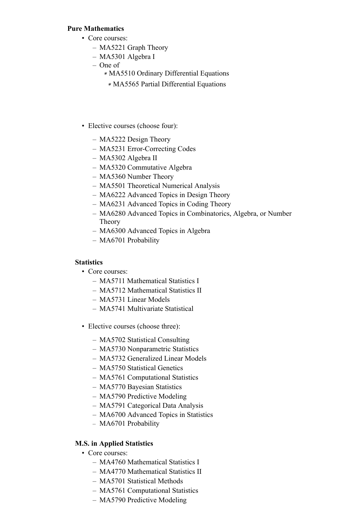#### **Pure Mathematics**

- Core courses:
	- MA5221 Graph Theory
	- MA5301 Algebra I
	- One of
		- ∗ MA5510 Ordinary Differential Equations
		- ∗ MA5565 Partial Differential Equations
- Elective courses (choose four):
	- MA5222 Design Theory
	- MA5231 Error-Correcting Codes
	- MA5302 Algebra II
	- MA5320 Commutative Algebra
	- MA5360 Number Theory
	- MA5501 Theoretical Numerical Analysis
	- MA6222 Advanced Topics in Design Theory
	- MA6231 Advanced Topics in Coding Theory
	- MA6280 Advanced Topics in Combinatorics, Algebra, or Number Theory
	- MA6300 Advanced Topics in Algebra
	- MA6701 Probability

#### **Statistics**

- Core courses:
	- MA5711 Mathematical Statistics I
	- MA5712 Mathematical Statistics II
	- MA5731 Linear Models
	- MA5741 Multivariate Statistical
- Elective courses (choose three):
	- MA5702 Statistical Consulting
	- MA5730 Nonparametric Statistics
	- MA5732 Generalized Linear Models
	- MA5750 Statistical Genetics
	- MA5761 Computational Statistics
	- MA5770 Bayesian Statistics
	- MA5790 Predictive Modeling
	- MA5791 Categorical Data Analysis
	- MA6700 Advanced Topics in Statistics
	- MA6701 Probability

### **M.S. in Applied Statistics**

- Core courses:
	- MA4760 Mathematical Statistics I
	- MA4770 Mathematical Statistics II
	- MA5701 Statistical Methods
	- MA5761 Computational Statistics
	- MA5790 Predictive Modeling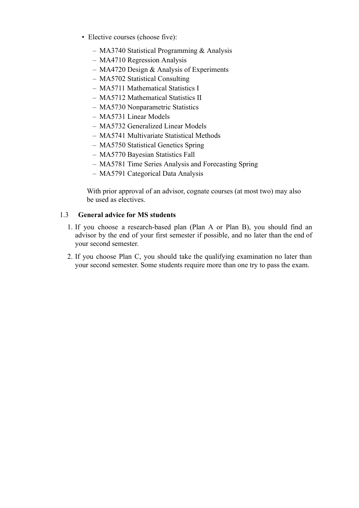- Elective courses (choose five):
	- MA3740 Statistical Programming & Analysis
	- MA4710 Regression Analysis
	- MA4720 Design & Analysis of Experiments
	- MA5702 Statistical Consulting
	- MA5711 Mathematical Statistics I
	- MA5712 Mathematical Statistics II
	- MA5730 Nonparametric Statistics
	- MA5731 Linear Models
	- MA5732 Generalized Linear Models
	- MA5741 Multivariate Statistical Methods
	- MA5750 Statistical Genetics Spring
	- MA5770 Bayesian Statistics Fall
	- MA5781 Time Series Analysis and Forecasting Spring
	- MA5791 Categorical Data Analysis

With prior approval of an advisor, cognate courses (at most two) may also be used as electives.

#### 1.3 **General advice for MS students**

- 1. If you choose a research-based plan (Plan A or Plan B), you should find an advisor by the end of your first semester if possible, and no later than the end of your second semester.
- 2. If you choose Plan C, you should take the qualifying examination no later than your second semester. Some students require more than one try to pass the exam.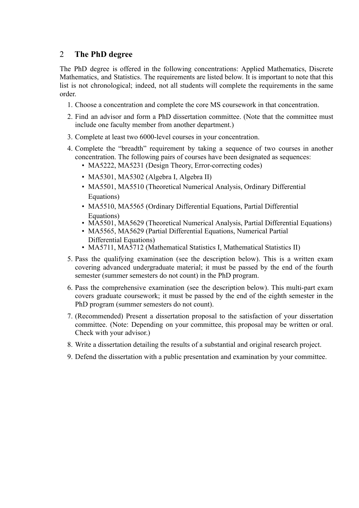# 2 **The PhD degree**

The PhD degree is offered in the following concentrations: Applied Mathematics, Discrete Mathematics, and Statistics. The requirements are listed below. It is important to note that this list is not chronological; indeed, not all students will complete the requirements in the same order.

- 1. Choose a concentration and complete the core MS coursework in that concentration.
- 2. Find an advisor and form a PhD dissertation committee. (Note that the committee must include one faculty member from another department.)
- 3. Complete at least two 6000-level courses in your concentration.
- 4. Complete the "breadth" requirement by taking a sequence of two courses in another concentration. The following pairs of courses have been designated as sequences:
	- MA5222, MA5231 (Design Theory, Error-correcting codes)
	- MA5301, MA5302 (Algebra I, Algebra II)
	- MA5501, MA5510 (Theoretical Numerical Analysis, Ordinary Differential Equations)
	- MA5510, MA5565 (Ordinary Differential Equations, Partial Differential Equations)
	- MA5501, MA5629 (Theoretical Numerical Analysis, Partial Differential Equations)
	- MA5565, MA5629 (Partial Differential Equations, Numerical Partial Differential Equations)
	- MA5711, MA5712 (Mathematical Statistics I, Mathematical Statistics II)
- 5. Pass the qualifying examination (see the description below). This is a written exam covering advanced undergraduate material; it must be passed by the end of the fourth semester (summer semesters do not count) in the PhD program.
- 6. Pass the comprehensive examination (see the description below). This multi-part exam covers graduate coursework; it must be passed by the end of the eighth semester in the PhD program (summer semesters do not count).
- 7. (Recommended) Present a dissertation proposal to the satisfaction of your dissertation committee. (Note: Depending on your committee, this proposal may be written or oral. Check with your advisor.)
- 8. Write a dissertation detailing the results of a substantial and original research project.
- 9. Defend the dissertation with a public presentation and examination by your committee.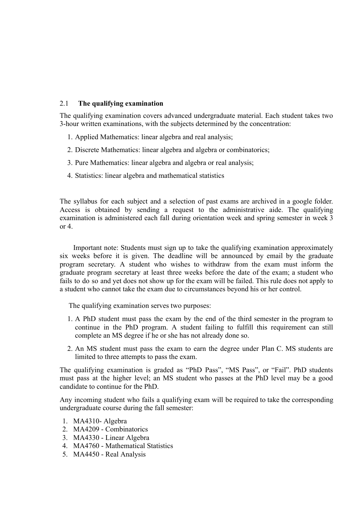#### 2.1 **The qualifying examination**

The qualifying examination covers advanced undergraduate material. Each student takes two 3-hour written examinations, with the subjects determined by the concentration:

- 1. Applied Mathematics: linear algebra and real analysis;
- 2. Discrete Mathematics: linear algebra and algebra or combinatorics;
- 3. Pure Mathematics: linear algebra and algebra or real analysis;
- 4. Statistics: linear algebra and mathematical statistics

The syllabus for each subject and a selection of past exams are archived in a google folder. Access is obtained by sending a request to the administrative aide. The qualifying examination is administered each fall during orientation week and spring semester in week 3 or 4.

Important note: Students must sign up to take the qualifying examination approximately six weeks before it is given. The deadline will be announced by email by the graduate program secretary. A student who wishes to withdraw from the exam must inform the graduate program secretary at least three weeks before the date of the exam; a student who fails to do so and yet does not show up for the exam will be failed. This rule does not apply to a student who cannot take the exam due to circumstances beyond his or her control.

The qualifying examination serves two purposes:

- 1. A PhD student must pass the exam by the end of the third semester in the program to continue in the PhD program. A student failing to fulfill this requirement can still complete an MS degree if he or she has not already done so.
- 2. An MS student must pass the exam to earn the degree under Plan C. MS students are limited to three attempts to pass the exam.

The qualifying examination is graded as "PhD Pass", "MS Pass", or "Fail". PhD students must pass at the higher level; an MS student who passes at the PhD level may be a good candidate to continue for the PhD.

Any incoming student who fails a qualifying exam will be required to take the corresponding undergraduate course during the fall semester:

- 1. MA4310- Algebra
- 2. MA4209 Combinatorics
- 3. MA4330 Linear Algebra
- 4. MA4760 Mathematical Statistics
- 5. MA4450 Real Analysis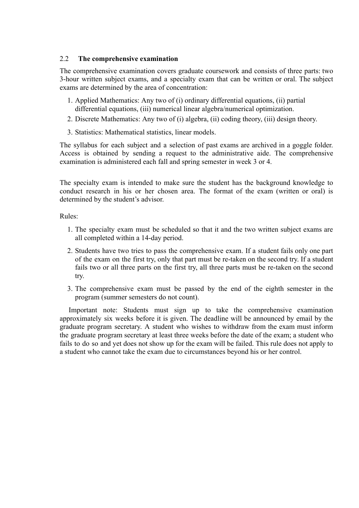#### 2.2 **The comprehensive examination**

The comprehensive examination covers graduate coursework and consists of three parts: two 3-hour written subject exams, and a specialty exam that can be written or oral. The subject exams are determined by the area of concentration:

- 1. Applied Mathematics: Any two of (i) ordinary differential equations, (ii) partial differential equations, (iii) numerical linear algebra/numerical optimization.
- 2. Discrete Mathematics: Any two of (i) algebra, (ii) coding theory, (iii) design theory.
- 3. Statistics: Mathematical statistics, linear models.

The syllabus for each subject and a selection of past exams are archived in a goggle folder. Access is obtained by sending a request to the administrative aide. The comprehensive examination is administered each fall and spring semester in week 3 or 4.

The specialty exam is intended to make sure the student has the background knowledge to conduct research in his or her chosen area. The format of the exam (written or oral) is determined by the student's advisor.

#### Rules:

- 1. The specialty exam must be scheduled so that it and the two written subject exams are all completed within a 14-day period.
- 2. Students have two tries to pass the comprehensive exam. If a student fails only one part of the exam on the first try, only that part must be re-taken on the second try. If a student fails two or all three parts on the first try, all three parts must be re-taken on the second try.
- 3. The comprehensive exam must be passed by the end of the eighth semester in the program (summer semesters do not count).

Important note: Students must sign up to take the comprehensive examination approximately six weeks before it is given. The deadline will be announced by email by the graduate program secretary. A student who wishes to withdraw from the exam must inform the graduate program secretary at least three weeks before the date of the exam; a student who fails to do so and yet does not show up for the exam will be failed. This rule does not apply to a student who cannot take the exam due to circumstances beyond his or her control.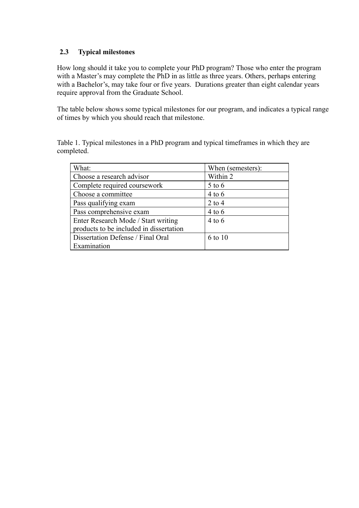#### **2.3 Typical milestones**

How long should it take you to complete your PhD program? Those who enter the program with a Master's may complete the PhD in as little as three years. Others, perhaps entering with a Bachelor's, may take four or five years. Durations greater than eight calendar years require approval from the Graduate School.

The table below shows some typical milestones for our program, and indicates a typical range of times by which you should reach that milestone.

Table 1. Typical milestones in a PhD program and typical timeframes in which they are completed.

| What:                                   | When (semesters): |
|-----------------------------------------|-------------------|
| Choose a research advisor               | Within 2          |
| Complete required coursework            | $5$ to $6$        |
| Choose a committee                      | $4$ to $6$        |
| Pass qualifying exam                    | $2$ to 4          |
| Pass comprehensive exam                 | $4$ to $6$        |
| Enter Research Mode / Start writing     | $4$ to 6          |
| products to be included in dissertation |                   |
| Dissertation Defense / Final Oral       | 6 to 10           |
| Examination                             |                   |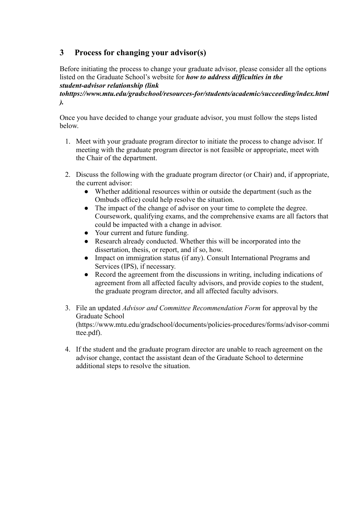# **3 Process for changing your advisor(s)**

Before initiating the process to change your graduate advisor, please consider all the options listed on the Graduate School's website for *how to address difficulties in the student-advisor relationship (link*

*tohttps://www.mtu.edu/gradschool/resources-for/students/academic/succeeding/index.html ).*

Once you have decided to change your graduate advisor, you must follow the steps listed below.

- 1. Meet with your graduate program director to initiate the process to change advisor. If meeting with the graduate program director is not feasible or appropriate, meet with the Chair of the department.
- 2. Discuss the following with the graduate program director (or Chair) and, if appropriate, the current advisor:
	- Whether additional resources within or outside the department (such as the Ombuds office) could help resolve the situation.
	- The impact of the change of advisor on your time to complete the degree. Coursework, qualifying exams, and the comprehensive exams are all factors that could be impacted with a change in advisor.
	- Your current and future funding.
	- Research already conducted. Whether this will be incorporated into the dissertation, thesis, or report, and if so, how.
	- Impact on immigration status (if any). Consult International Programs and Services (IPS), if necessary.
	- Record the agreement from the discussions in writing, including indications of agreement from all affected faculty advisors, and provide copies to the student, the graduate program director, and all affected faculty advisors.
- 3. File an updated *Advisor and Committee Recommendation Form* for approval by the Graduate School (https://www.mtu.edu/gradschool/documents/policies-procedures/forms/advisor-commi ttee.pdf).
- 4. If the student and the graduate program director are unable to reach agreement on the advisor change, contact the assistant dean of the Graduate School to determine additional steps to resolve the situation.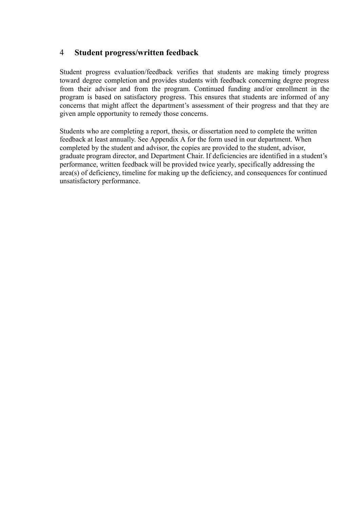# 4 **Student progress/written feedback**

Student progress evaluation/feedback verifies that students are making timely progress toward degree completion and provides students with feedback concerning degree progress from their advisor and from the program. Continued funding and/or enrollment in the program is based on satisfactory progress. This ensures that students are informed of any concerns that might affect the department's assessment of their progress and that they are given ample opportunity to remedy those concerns.

Students who are completing a report, thesis, or dissertation need to complete the written feedback at least annually. See Appendix A for the form used in our department. When completed by the student and advisor, the copies are provided to the student, advisor, graduate program director, and Department Chair. If deficiencies are identified in a student's performance, written feedback will be provided twice yearly, specifically addressing the area(s) of deficiency, timeline for making up the deficiency, and consequences for continued unsatisfactory performance.